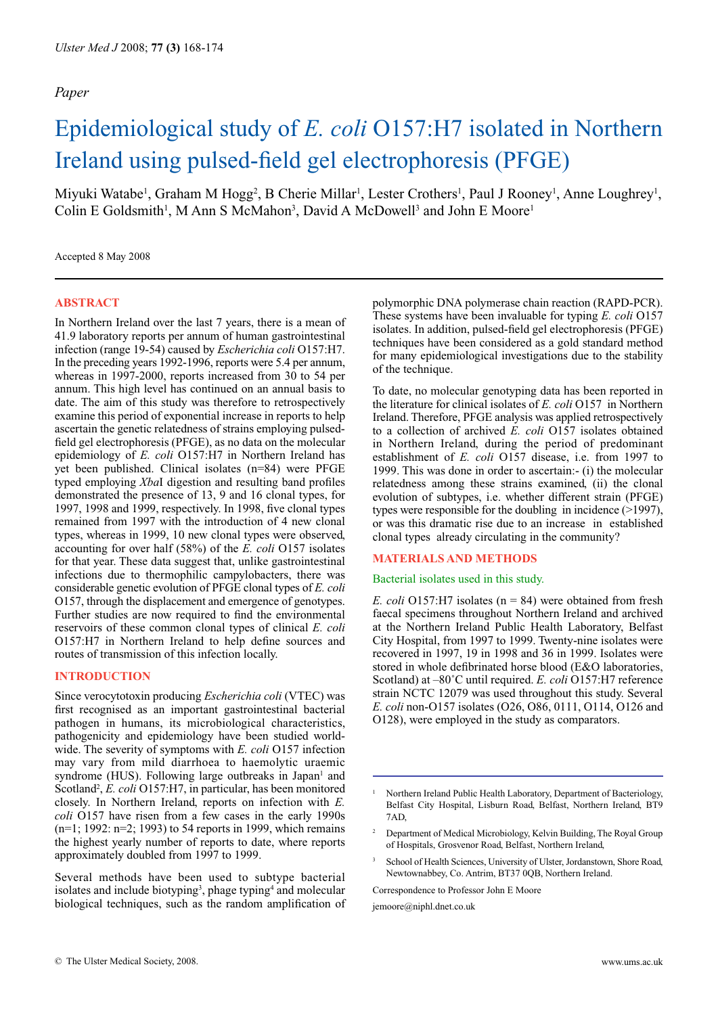# Epidemiological study of *E. coli* O157:H7 isolated in Northern Ireland using pulsed-field gel electrophoresis (PFGE)

Miyuki Watabe<sup>1</sup>, Graham M Hogg<sup>2</sup>, B Cherie Millar<sup>1</sup>, Lester Crothers<sup>1</sup>, Paul J Rooney<sup>1</sup>, Anne Loughrey<sup>1</sup>, Colin E Goldsmith<sup>1</sup>, M Ann S McMahon<sup>3</sup>, David A McDowell<sup>3</sup> and John E Moore<sup>1</sup>

Accepted 8 May 2008

## **ABSTRACT**

In Northern Ireland over the last 7 years, there is a mean of 41.9 laboratory reports per annum of human gastrointestinal infection (range 19-54) caused by *Escherichia coli* O157:H7. In the preceding years 1992-1996, reports were 5.4 per annum, whereas in 1997-2000, reports increased from 30 to 54 per annum. This high level has continued on an annual basis to date. The aim of this study was therefore to retrospectively examine this period of exponential increase in reports to help ascertain the genetic relatedness of strains employing pulsedfield gel electrophoresis (PFGE), as no data on the molecular epidemiology of *E. coli* O157:H7 in Northern Ireland has yet been published. Clinical isolates (n=84) were PFGE typed employing *Xba*I digestion and resulting band profiles demonstrated the presence of 13, 9 and 16 clonal types, for 1997, 1998 and 1999, respectively. In 1998, five clonal types remained from 1997 with the introduction of 4 new clonal types, whereas in 1999, 10 new clonal types were observed, accounting for over half (58%) of the *E. coli* O157 isolates for that year. These data suggest that, unlike gastrointestinal infections due to thermophilic campylobacters, there was considerable genetic evolution of PFGE clonal types of *E. coli*  O157, through the displacement and emergence of genotypes. Further studies are now required to find the environmental reservoirs of these common clonal types of clinical *E. coli* O157:H7 in Northern Ireland to help define sources and routes of transmission of this infection locally.

## **INTRODUCTION**

Since verocytotoxin producing *Escherichia coli* (VTEC) was first recognised as an important gastrointestinal bacterial pathogen in humans, its microbiological characteristics, pathogenicity and epidemiology have been studied worldwide. The severity of symptoms with *E. coli* O157 infection may vary from mild diarrhoea to haemolytic uraemic syndrome (HUS). Following large outbreaks in Japan<sup>1</sup> and Scotland<sup>2</sup>, *E. coli* O157:H7, in particular, has been monitored closely. In Northern Ireland, reports on infection with *E. coli* O157 have risen from a few cases in the early 1990s (n=1; 1992: n=2; 1993) to 54 reports in 1999, which remains the highest yearly number of reports to date, where reports approximately doubled from 1997 to 1999.

Several methods have been used to subtype bacterial isolates and include biotyping<sup>3</sup>, phage typing<sup>4</sup> and molecular biological techniques, such as the random amplification of polymorphic DNA polymerase chain reaction (RAPD-PCR). These systems have been invaluable for typing *E. coli* O157 isolates. In addition, pulsed-field gel electrophoresis (PFGE) techniques have been considered as a gold standard method for many epidemiological investigations due to the stability of the technique.

To date, no molecular genotyping data has been reported in the literature for clinical isolates of *E. coli* O157 in Northern Ireland. Therefore, PFGE analysis was applied retrospectively to a collection of archived *E. coli* O157 isolates obtained in Northern Ireland, during the period of predominant establishment of *E. coli* O157 disease, i.e. from 1997 to 1999. This was done in order to ascertain:- (i) the molecular relatedness among these strains examined, (ii) the clonal evolution of subtypes, i.e. whether different strain (PFGE) types were responsible for the doubling in incidence (>1997), or was this dramatic rise due to an increase in established clonal types already circulating in the community?

#### **MATERIALS AND METHODS**

#### Bacterial isolates used in this study.

*E. coli* O157:H7 isolates (n = 84) were obtained from fresh faecal specimens throughout Northern Ireland and archived at the Northern Ireland Public Health Laboratory, Belfast City Hospital, from 1997 to 1999. Twenty-nine isolates were recovered in 1997, 19 in 1998 and 36 in 1999. Isolates were stored in whole defibrinated horse blood (E&O laboratories, Scotland) at –80˚C until required. *E. coli* O157:H7 reference strain NCTC 12079 was used throughout this study. Several *E. coli* non-O157 isolates (O26, O86, 0111, O114, O126 and O128), were employed in the study as comparators.

<sup>3</sup> School of Health Sciences, University of Ulster, Jordanstown, Shore Road, Newtownabbey, Co. Antrim, BT37 0QB, Northern Ireland.

Correspondence to Professor John E Moore

jemoore@niphl.dnet.co.uk

<sup>1</sup> Northern Ireland Public Health Laboratory, Department of Bacteriology, Belfast City Hospital, Lisburn Road, Belfast, Northern Ireland, BT9 7AD,

<sup>2</sup> Department of Medical Microbiology, Kelvin Building, The Royal Group of Hospitals, Grosvenor Road, Belfast, Northern Ireland,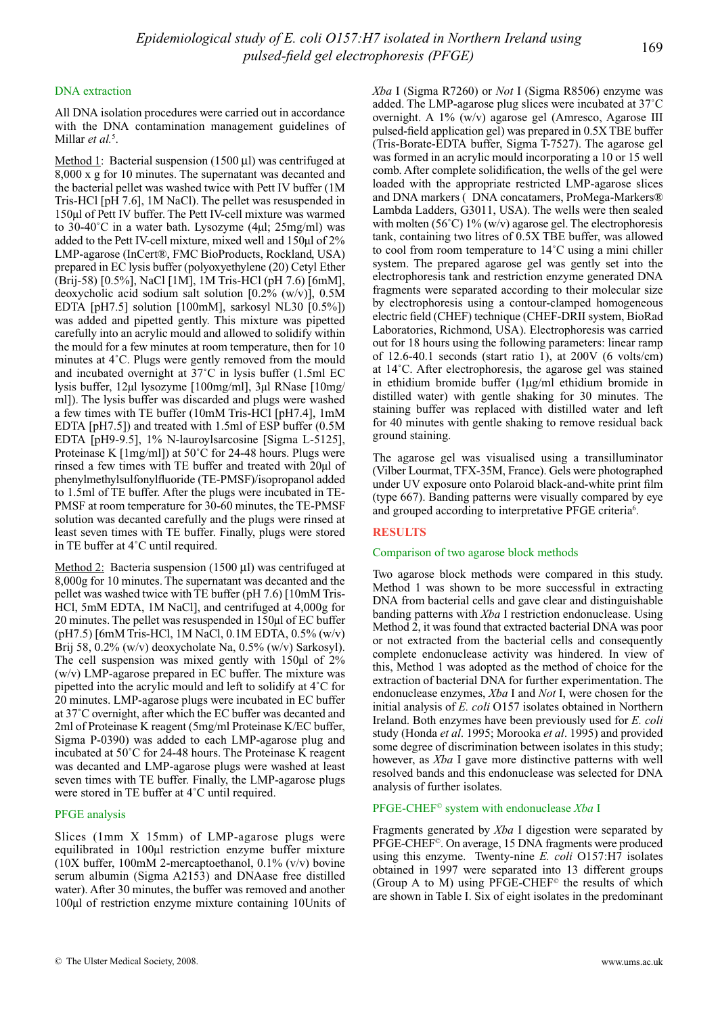# DNA extraction

All DNA isolation procedures were carried out in accordance with the DNA contamination management guidelines of Millar *et al.*<sup>5</sup>.

Method 1: Bacterial suspension  $(1500 \,\mu\text{I})$  was centrifuged at 8,000 x g for 10 minutes. The supernatant was decanted and the bacterial pellet was washed twice with Pett IV buffer (1M Tris-HCl [pH 7.6], 1M NaCl). The pellet was resuspended in 150µl of Pett IV buffer. The Pett IV-cell mixture was warmed to 30-40˚C in a water bath. Lysozyme (4µl; 25mg/ml) was added to the Pett IV-cell mixture, mixed well and 150µl of 2% LMP-agarose (InCert®, FMC BioProducts, Rockland, USA) prepared in EC lysis buffer (polyoxyethylene (20) Cetyl Ether (Brij-58) [0.5%], NaCl [1M], 1M Tris-HCl (pH 7.6) [6mM], deoxycholic acid sodium salt solution [0.2% (w/v)], 0.5M EDTA [pH7.5] solution [100mM], sarkosyl NL30 [0.5%]) was added and pipetted gently. This mixture was pipetted carefully into an acrylic mould and allowed to solidify within the mould for a few minutes at room temperature, then for 10 minutes at 4˚C. Plugs were gently removed from the mould and incubated overnight at 37˚C in lysis buffer (1.5ml EC lysis buffer, 12µl lysozyme [100mg/ml], 3µl RNase [10mg/ ml]). The lysis buffer was discarded and plugs were washed a few times with TE buffer (10mM Tris-HCl [pH7.4], 1mM EDTA [pH7.5]) and treated with 1.5ml of ESP buffer (0.5M EDTA [pH9-9.5], 1% N-lauroylsarcosine [Sigma L-5125], Proteinase K [1mg/ml]) at 50˚C for 24-48 hours. Plugs were rinsed a few times with TE buffer and treated with 20µl of phenylmethylsulfonylfluoride (TE-PMSF)/isopropanol added to 1.5ml of TE buffer. After the plugs were incubated in TE-PMSF at room temperature for 30-60 minutes, the TE-PMSF solution was decanted carefully and the plugs were rinsed at least seven times with TE buffer. Finally, plugs were stored in TE buffer at 4˚C until required.

Method 2: Bacteria suspension (1500 µl) was centrifuged at 8,000g for 10 minutes. The supernatant was decanted and the pellet was washed twice with TE buffer (pH 7.6) [10mM Tris-HCl, 5mM EDTA, 1M NaCl], and centrifuged at 4,000g for 20 minutes. The pellet was resuspended in 150µl of EC buffer (pH7.5) [6mM Tris-HCl, 1M NaCl, 0.1M EDTA, 0.5% (w/v) Brij 58, 0.2% (w/v) deoxycholate Na, 0.5% (w/v) Sarkosyl). The cell suspension was mixed gently with 150µl of 2% (w/v) LMP-agarose prepared in EC buffer. The mixture was pipetted into the acrylic mould and left to solidify at 4˚C for 20 minutes. LMP-agarose plugs were incubated in EC buffer at 37˚C overnight, after which the EC buffer was decanted and 2ml of Proteinase K reagent (5mg/ml Proteinase K/EC buffer, Sigma P-0390) was added to each LMP-agarose plug and incubated at 50˚C for 24-48 hours. The Proteinase K reagent was decanted and LMP-agarose plugs were washed at least seven times with TE buffer. Finally, the LMP-agarose plugs were stored in TE buffer at 4˚C until required.

# PFGE analysis

Slices (1mm X 15mm) of LMP-agarose plugs were equilibrated in 100µl restriction enzyme buffer mixture (10X buffer, 100mM 2-mercaptoethanol, 0.1% (v/v) bovine serum albumin (Sigma A2153) and DNAase free distilled water). After 30 minutes, the buffer was removed and another 100µl of restriction enzyme mixture containing 10Units of *Xba* I (Sigma R7260) or *Not* I (Sigma R8506) enzyme was added. The LMP-agarose plug slices were incubated at 37˚C overnight. A 1% (w/v) agarose gel (Amresco, Agarose III pulsed-field application gel) was prepared in 0.5X TBE buffer (Tris-Borate-EDTA buffer, Sigma T-7527). The agarose gel was formed in an acrylic mould incorporating a 10 or 15 well comb. After complete solidification, the wells of the gel were loaded with the appropriate restricted LMP-agarose slices and DNA markers (DNA concatamers, ProMega-Markers® Lambda Ladders, G3011, USA). The wells were then sealed with molten (56°C) 1% (w/v) agarose gel. The electrophoresis tank, containing two litres of 0.5X TBE buffer, was allowed to cool from room temperature to 14˚C using a mini chiller system. The prepared agarose gel was gently set into the electrophoresis tank and restriction enzyme generated DNA fragments were separated according to their molecular size by electrophoresis using a contour-clamped homogeneous electric field (CHEF) technique (CHEF-DRII system, BioRad Laboratories, Richmond, USA). Electrophoresis was carried out for 18 hours using the following parameters: linear ramp of 12.6-40.1 seconds (start ratio 1), at  $200V$  (6 volts/cm) at 14˚C. After electrophoresis, the agarose gel was stained in ethidium bromide buffer (1µg/ml ethidium bromide in distilled water) with gentle shaking for 30 minutes. The staining buffer was replaced with distilled water and left for 40 minutes with gentle shaking to remove residual back ground staining.

The agarose gel was visualised using a transilluminator (Vilber Lourmat, TFX-35M, France). Gels were photographed under UV exposure onto Polaroid black-and-white print film (type 667). Banding patterns were visually compared by eye and grouped according to interpretative PFGE criteria<sup>6</sup>.

# **RESULTS**

## Comparison of two agarose block methods

Two agarose block methods were compared in this study. Method 1 was shown to be more successful in extracting DNA from bacterial cells and gave clear and distinguishable banding patterns with *Xba* I restriction endonuclease. Using Method 2, it was found that extracted bacterial DNA was poor or not extracted from the bacterial cells and consequently complete endonuclease activity was hindered. In view of this, Method 1 was adopted as the method of choice for the extraction of bacterial DNA for further experimentation. The endonuclease enzymes, *Xba* I and *Not* I, were chosen for the initial analysis of *E. coli* O157 isolates obtained in Northern Ireland. Both enzymes have been previously used for *E. coli* study (Honda *et al*. 1995; Morooka *et al*. 1995) and provided some degree of discrimination between isolates in this study; however, as *Xba* I gave more distinctive patterns with well resolved bands and this endonuclease was selected for DNA analysis of further isolates.

## PFGE-CHEF© system with endonuclease *Xba* I

Fragments generated by *Xba* I digestion were separated by PFGE-CHEF©. On average, 15 DNA fragments were produced using this enzyme. Twenty-nine *E. coli* O157:H7 isolates obtained in 1997 were separated into 13 different groups (Group A to M) using  $PFGE-CHEF<sup>°</sup>$  the results of which are shown in Table I. Six of eight isolates in the predominant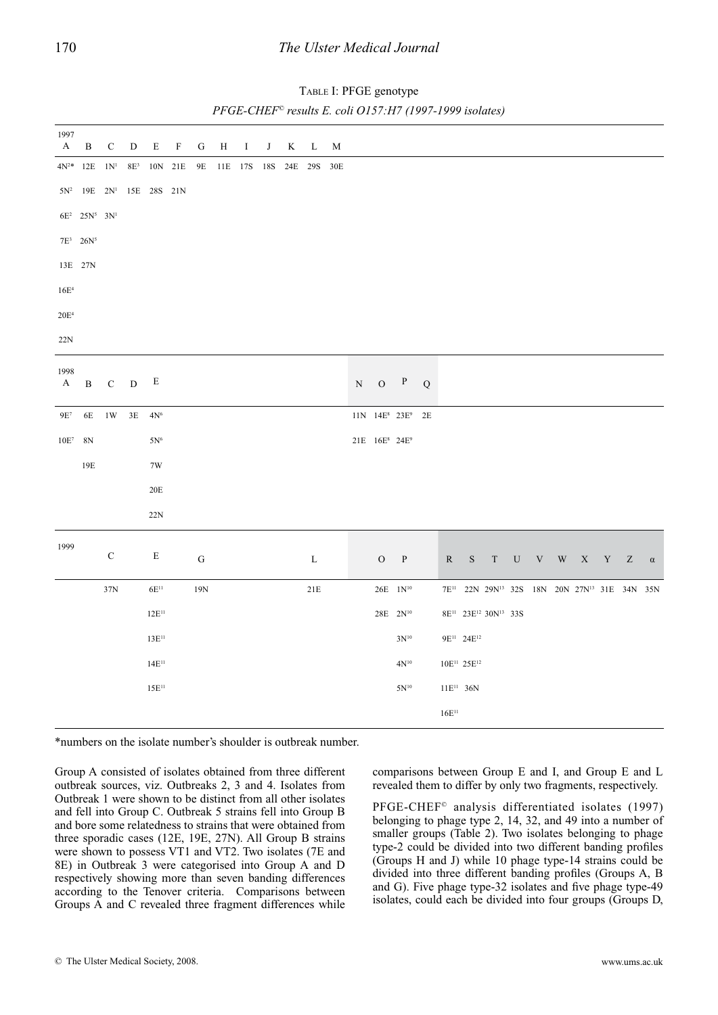| 1997<br>A            | $\, {\bf B}$                  | $\mathbf C$ | ${\bf D}$ | ${\bf E}$               | $\rm F$ | ${\bf G}$ | $\, {\rm H}$ | $\rm I$         | $_{\rm J}$ | $\mathbf K$ | L           | M   |             |                                       |                                          |         |           |                                     |                                                                                                                                                                                                         |                     |                         |  |                         |          |
|----------------------|-------------------------------|-------------|-----------|-------------------------|---------|-----------|--------------|-----------------|------------|-------------|-------------|-----|-------------|---------------------------------------|------------------------------------------|---------|-----------|-------------------------------------|---------------------------------------------------------------------------------------------------------------------------------------------------------------------------------------------------------|---------------------|-------------------------|--|-------------------------|----------|
|                      | $4N^{2\ast}$ 12E $1N^{1}$     |             |           | $8\mathrm{E}^3$ 10N 21E |         | 9E        |              | 11E 17S 18S 24E |            |             | 29S         | 30E |             |                                       |                                          |         |           |                                     |                                                                                                                                                                                                         |                     |                         |  |                         |          |
|                      | $5N^2$ 19E $2N^1$ 15E 28S 21N |             |           |                         |         |           |              |                 |            |             |             |     |             |                                       |                                          |         |           |                                     |                                                                                                                                                                                                         |                     |                         |  |                         |          |
|                      | $6E^2$ $25N^5$ $3N^1$         |             |           |                         |         |           |              |                 |            |             |             |     |             |                                       |                                          |         |           |                                     |                                                                                                                                                                                                         |                     |                         |  |                         |          |
|                      | $7E^3$ 26N <sup>5</sup>       |             |           |                         |         |           |              |                 |            |             |             |     |             |                                       |                                          |         |           |                                     |                                                                                                                                                                                                         |                     |                         |  |                         |          |
|                      | 13E 27N                       |             |           |                         |         |           |              |                 |            |             |             |     |             |                                       |                                          |         |           |                                     |                                                                                                                                                                                                         |                     |                         |  |                         |          |
| $16E^4$              |                               |             |           |                         |         |           |              |                 |            |             |             |     |             |                                       |                                          |         |           |                                     |                                                                                                                                                                                                         |                     |                         |  |                         |          |
| $20\mathrm{E}^4$     |                               |             |           |                         |         |           |              |                 |            |             |             |     |             |                                       |                                          |         |           |                                     |                                                                                                                                                                                                         |                     |                         |  |                         |          |
| 22N                  |                               |             |           |                         |         |           |              |                 |            |             |             |     |             |                                       |                                          |         |           |                                     |                                                                                                                                                                                                         |                     |                         |  |                         |          |
|                      |                               |             |           |                         |         |           |              |                 |            |             |             |     |             |                                       |                                          |         |           |                                     |                                                                                                                                                                                                         |                     |                         |  |                         |          |
| 1998<br>$\mathbf{A}$ | $\, {\bf B}$                  | ${\bf C}$   | ${\bf D}$ | E                       |         |           |              |                 |            |             |             |     | $\mathbf N$ | $\mathbf{O}$                          | $\, {\bf p}$                             | $\bf Q$ |           |                                     |                                                                                                                                                                                                         |                     |                         |  |                         |          |
| $9E^7$               | $6E$                          | 1W          |           | $3E$ $4N^6$             |         |           |              |                 |            |             |             |     |             |                                       | 11N 14E <sup>8</sup> 23E <sup>9</sup> 2E |         |           |                                     |                                                                                                                                                                                                         |                     |                         |  |                         |          |
| $10E^7 - 8N$         |                               |             |           | $5\mathrm{N}^6$         |         |           |              |                 |            |             |             |     |             | 21E 16E <sup>8</sup> 24E <sup>9</sup> |                                          |         |           |                                     |                                                                                                                                                                                                         |                     |                         |  |                         |          |
|                      | 19E                           |             |           | 7W                      |         |           |              |                 |            |             |             |     |             |                                       |                                          |         |           |                                     |                                                                                                                                                                                                         |                     |                         |  |                         |          |
|                      |                               |             |           | $20E$                   |         |           |              |                 |            |             |             |     |             |                                       |                                          |         |           |                                     |                                                                                                                                                                                                         |                     |                         |  |                         |          |
|                      |                               |             |           |                         |         |           |              |                 |            |             |             |     |             |                                       |                                          |         |           |                                     |                                                                                                                                                                                                         |                     |                         |  |                         |          |
|                      |                               |             |           | $22\mathrm{N}$          |         |           |              |                 |            |             |             |     |             |                                       |                                          |         |           |                                     |                                                                                                                                                                                                         |                     |                         |  |                         |          |
| 1999                 |                               | $\mathbf C$ |           | ${\bf E}$               |         | ${\bf G}$ |              |                 |            |             | $\mathbf L$ |     |             | $\rm{O}$                              | $\mathbf{P}$                             |         | ${\bf R}$ | $\mathbf S$                         | $\ensuremath{\mathrm{T}}$                                                                                                                                                                               | ${\bf U} - {\bf V}$ | $\mathbf{W}-\mathbf{X}$ |  | $\mathbf{Y}-\mathbf{Z}$ | $\alpha$ |
|                      |                               | $37N$       |           | $6\mathrm{E}^{11}$      |         | 19N       |              |                 |            |             | $21E$       |     |             |                                       | $26E$ $1\mathrm{N^{10}}$                 |         |           |                                     | $7\mathrm{E^{11}} \quad 22\mathrm{N} \quad 29\mathrm{N^{13}} \quad 32\mathrm{S} \quad 18\mathrm{N} \quad 20\mathrm{N} \quad 27\mathrm{N^{13}} \quad 31\mathrm{E} \quad 34\mathrm{N} \quad 35\mathrm{N}$ |                     |                         |  |                         |          |
|                      |                               |             |           | $12\mathrm{E^{11}}$     |         |           |              |                 |            |             |             |     |             | $28E - 2N^{10}$                       |                                          |         |           |                                     | 8E <sup>11</sup> 23E <sup>12</sup> 30N <sup>13</sup> 33S                                                                                                                                                |                     |                         |  |                         |          |
|                      |                               |             |           | $13E^{11}$              |         |           |              |                 |            |             |             |     |             |                                       | $3N^{10}$                                |         |           | 9E <sup>11</sup> 24E <sup>12</sup>  |                                                                                                                                                                                                         |                     |                         |  |                         |          |
|                      |                               |             |           | $14E^{11}$              |         |           |              |                 |            |             |             |     |             |                                       | $4\mathrm{N}^{10}$                       |         |           | 10E <sup>11</sup> 25E <sup>12</sup> |                                                                                                                                                                                                         |                     |                         |  |                         |          |
|                      |                               |             |           | $15\mathrm{E^{11}}$     |         |           |              |                 |            |             |             |     |             |                                       | $5N^{10}$                                |         |           | $11E^{11}$ 36N                      |                                                                                                                                                                                                         |                     |                         |  |                         |          |
|                      |                               |             |           |                         |         |           |              |                 |            |             |             |     |             |                                       |                                          |         |           |                                     |                                                                                                                                                                                                         |                     |                         |  |                         |          |

Table I: PFGE genotype *PFGE-CHEF© results E. coli O157:H7 (1997-1999 isolates)*

\*numbers on the isolate number's shoulder is outbreak number.

Group A consisted of isolates obtained from three different outbreak sources, viz. Outbreaks 2, 3 and 4. Isolates from Outbreak 1 were shown to be distinct from all other isolates and fell into Group C. Outbreak 5 strains fell into Group B and bore some relatedness to strains that were obtained from three sporadic cases (12E, 19E, 27N). All Group B strains were shown to possess VT1 and VT2. Two isolates (7E and 8E) in Outbreak 3 were categorised into Group A and D respectively showing more than seven banding differences according to the Tenover criteria. Comparisons between Groups A and C revealed three fragment differences while comparisons between Group E and I, and Group E and L revealed them to differ by only two fragments, respectively.

PFGE-CHEF© analysis differentiated isolates (1997) belonging to phage type 2, 14, 32, and 49 into a number of smaller groups (Table 2). Two isolates belonging to phage type-2 could be divided into two different banding profiles (Groups H and J) while 10 phage type-14 strains could be divided into three different banding profiles (Groups A, B and G). Five phage type-32 isolates and five phage type-49 isolates, could each be divided into four groups (Groups D,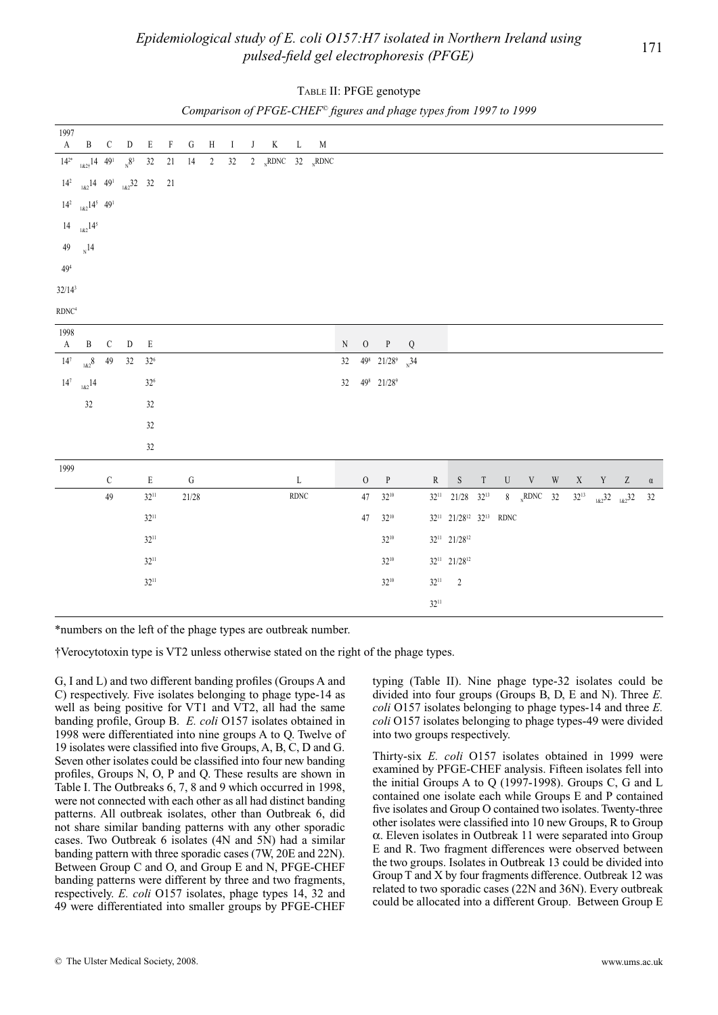|                 |                                                       |               |                |                             |              |           | $\overline{\phantom{a}}$ |              | $\ddot{\phantom{0}}$ |                |              | $\sim$ $\sim$ |           |          |                                           |   | . .       |                                                            |       |                                         |  |                                          |          |
|-----------------|-------------------------------------------------------|---------------|----------------|-----------------------------|--------------|-----------|--------------------------|--------------|----------------------|----------------|--------------|---------------|-----------|----------|-------------------------------------------|---|-----------|------------------------------------------------------------|-------|-----------------------------------------|--|------------------------------------------|----------|
| 1997            |                                                       |               |                |                             |              |           |                          |              |                      |                |              |               |           |          |                                           |   |           |                                                            |       |                                         |  |                                          |          |
| $\mathbf{A}$    | $\, {\bf B}$                                          | $\mathcal{C}$ | D              | E                           | $\mathbf{F}$ | G         | H                        | $\mathbf{I}$ | J                    | $\bf{K}$       | $\mathbf{L}$ | M             |           |          |                                           |   |           |                                                            |       |                                         |  |                                          |          |
|                 | $\frac{1}{14^{2^*}}$ $\frac{182}{14}$ 49 <sup>1</sup> |               | $N^{\delta^3}$ | 32                          | $21 \t 14$   |           | $2^{\circ}$              | 32           |                      | 2 RDNC 32 RDNC |              |               |           |          |                                           |   |           |                                                            |       |                                         |  |                                          |          |
|                 | $14^2$ $_{182}14$ $49^1$ $_{182}32$ 32 21             |               |                |                             |              |           |                          |              |                      |                |              |               |           |          |                                           |   |           |                                                            |       |                                         |  |                                          |          |
|                 | $14^2$ $182$ $14^5$ $49^1$                            |               |                |                             |              |           |                          |              |                      |                |              |               |           |          |                                           |   |           |                                                            |       |                                         |  |                                          |          |
|                 | $14 \t_{1\&2}14^5$                                    |               |                |                             |              |           |                          |              |                      |                |              |               |           |          |                                           |   |           |                                                            |       |                                         |  |                                          |          |
|                 | 49 $_{N}$ 14                                          |               |                |                             |              |           |                          |              |                      |                |              |               |           |          |                                           |   |           |                                                            |       |                                         |  |                                          |          |
| 49 <sup>4</sup> |                                                       |               |                |                             |              |           |                          |              |                      |                |              |               |           |          |                                           |   |           |                                                            |       |                                         |  |                                          |          |
| $32/14^3$       |                                                       |               |                |                             |              |           |                          |              |                      |                |              |               |           |          |                                           |   |           |                                                            |       |                                         |  |                                          |          |
| $\rm RDNC^4$    |                                                       |               |                |                             |              |           |                          |              |                      |                |              |               |           |          |                                           |   |           |                                                            |       |                                         |  |                                          |          |
|                 |                                                       |               |                |                             |              |           |                          |              |                      |                |              |               |           |          |                                           |   |           |                                                            |       |                                         |  |                                          |          |
| 1998<br>A       | $\, {\bf B}$                                          | $\mathsf C$   | ${\rm D}$      | $\mathbf E$                 |              |           |                          |              |                      |                |              |               | ${\bf N}$ | $\rm{O}$ | P                                         | Q |           |                                                            |       |                                         |  |                                          |          |
|                 | $14^7$ $_{1\&2}8$ $-49$                               |               | 32             | $32^{\scriptscriptstyle 6}$ |              |           |                          |              |                      |                |              |               | 32        |          | $49^8$ 21/28 <sup>9</sup> <sub>N</sub> 34 |   |           |                                                            |       |                                         |  |                                          |          |
| 14 <sup>7</sup> | $182^{14}$                                            |               |                | $32^{\scriptscriptstyle 6}$ |              |           |                          |              |                      |                |              |               | 32        |          | 498 21/289                                |   |           |                                                            |       |                                         |  |                                          |          |
|                 | 32                                                    |               |                | $32\,$                      |              |           |                          |              |                      |                |              |               |           |          |                                           |   |           |                                                            |       |                                         |  |                                          |          |
|                 |                                                       |               |                | $32\,$                      |              |           |                          |              |                      |                |              |               |           |          |                                           |   |           |                                                            |       |                                         |  |                                          |          |
|                 |                                                       |               |                | $32\,$                      |              |           |                          |              |                      |                |              |               |           |          |                                           |   |           |                                                            |       |                                         |  |                                          |          |
|                 |                                                       |               |                |                             |              |           |                          |              |                      |                |              |               |           |          |                                           |   |           |                                                            |       |                                         |  |                                          |          |
| 1999            |                                                       | $\mathsf C$   |                | $\mathbf E$                 |              | ${\bf G}$ |                          |              |                      |                | $\mathbf L$  |               |           | $\rm{O}$ | $\, {\bf p}$                              |   | ${\bf R}$ |                                                            | $S$ T | $\begin{matrix}U&V&W&X&Y&Z\end{matrix}$ |  |                                          | $\alpha$ |
|                 |                                                       | 49            |                | $32^{11}$                   |              | 21/28     |                          |              |                      |                | <b>RDNC</b>  |               |           | $47\,$   | $32^{10}$                                 |   | $32^{11}$ | $21/28$ $32^{13}$                                          |       | 8 $_{N}$ RDNC 32                        |  | 32 <sup>13</sup> $_{182}$ 32 $_{182}$ 32 | 32       |
|                 |                                                       |               |                | $32^{11}$                   |              |           |                          |              |                      |                |              |               |           | $47\,$   | $32^{10}$                                 |   |           | 32 <sup>11</sup> 21/28 <sup>12</sup> 32 <sup>13</sup> RDNC |       |                                         |  |                                          |          |
|                 |                                                       |               |                | $32^{11}$                   |              |           |                          |              |                      |                |              |               |           |          | $32^{10}$                                 |   |           | $32^{11}$ $21/28^{12}$                                     |       |                                         |  |                                          |          |
|                 |                                                       |               |                | $32^{11}$                   |              |           |                          |              |                      |                |              |               |           |          | $32^{10}$                                 |   |           | $32^{11}$ $21/28^{12}$                                     |       |                                         |  |                                          |          |
|                 |                                                       |               |                | $32^{11}$                   |              |           |                          |              |                      |                |              |               |           |          | $32^{10}$                                 |   | $32^{11}$ | $\sqrt{2}$                                                 |       |                                         |  |                                          |          |
|                 |                                                       |               |                |                             |              |           |                          |              |                      |                |              |               |           |          |                                           |   | $32^{11}$ |                                                            |       |                                         |  |                                          |          |
|                 |                                                       |               |                |                             |              |           |                          |              |                      |                |              |               |           |          |                                           |   |           |                                                            |       |                                         |  |                                          |          |

|  | TABLE II: PFGE genotype |  |
|--|-------------------------|--|
|  |                         |  |

*Comparison of PFGE-CHEF© figures and phage types from 1997 to 1999*

\*numbers on the left of the phage types are outbreak number.

†Verocytotoxin type is VT2 unless otherwise stated on the right of the phage types.

G, I and L) and two different banding profiles (Groups A and C) respectively. Five isolates belonging to phage type-14 as well as being positive for VT1 and VT2, all had the same banding profile, Group B. *E. coli* O157 isolates obtained in 1998 were differentiated into nine groups A to Q. Twelve of 19 isolates were classified into five Groups, A, B, C, D and G. Seven other isolates could be classified into four new banding profiles, Groups N, O, P and Q. These results are shown in Table I. The Outbreaks 6, 7, 8 and 9 which occurred in 1998, were not connected with each other as all had distinct banding patterns. All outbreak isolates, other than Outbreak 6, did not share similar banding patterns with any other sporadic cases. Two Outbreak 6 isolates (4N and 5N) had a similar banding pattern with three sporadic cases (7W, 20E and 22N). Between Group C and O, and Group E and N, PFGE-CHEF banding patterns were different by three and two fragments, respectively. *E. coli* O157 isolates, phage types 14, 32 and 49 were differentiated into smaller groups by PFGE-CHEF

typing (Table II). Nine phage type-32 isolates could be divided into four groups (Groups B, D, E and N). Three *E. coli* O157 isolates belonging to phage types-14 and three *E. coli* O157 isolates belonging to phage types-49 were divided into two groups respectively.

Thirty-six *E. coli* O157 isolates obtained in 1999 were examined by PFGE-CHEF analysis. Fifteen isolates fell into the initial Groups A to Q (1997-1998). Groups C, G and L contained one isolate each while Groups E and P contained five isolates and Group O contained two isolates. Twenty-three other isolates were classified into 10 new Groups, R to Group α. Eleven isolates in Outbreak 11 were separated into Group E and R. Two fragment differences were observed between the two groups. Isolates in Outbreak 13 could be divided into Group T and X by four fragments difference. Outbreak 12 was related to two sporadic cases (22N and 36N). Every outbreak could be allocated into a different Group. Between Group E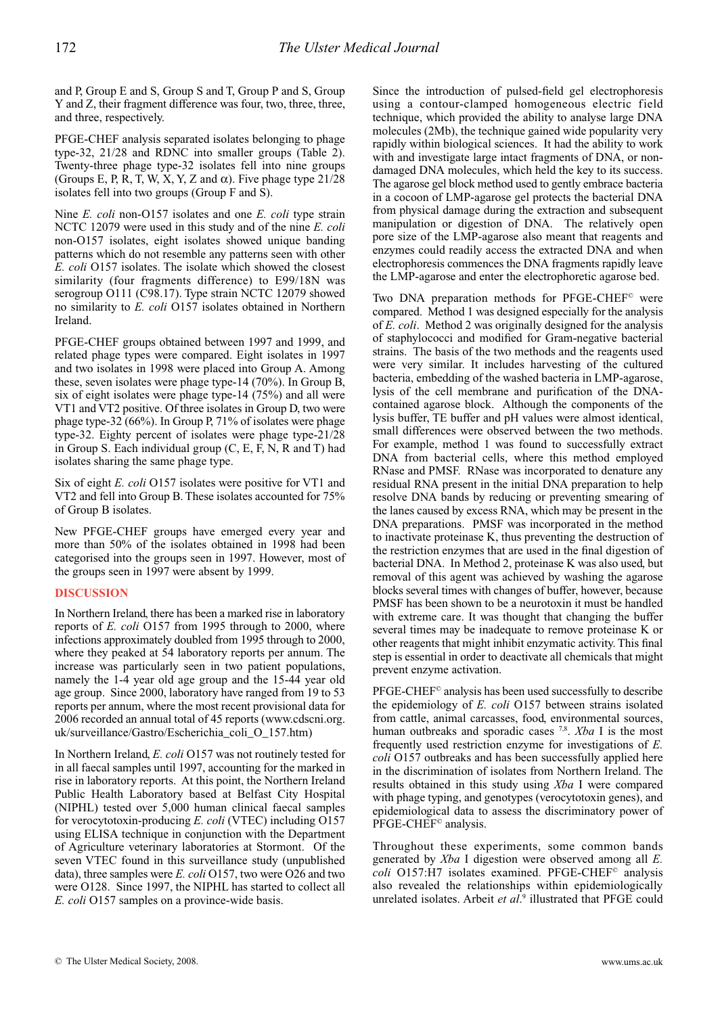and P, Group E and S, Group S and T, Group P and S, Group Y and Z, their fragment difference was four, two, three, three, and three, respectively.

PFGE-CHEF analysis separated isolates belonging to phage type-32, 21/28 and RDNC into smaller groups (Table 2). Twenty-three phage type-32 isolates fell into nine groups (Groups E, P, R, T, W, X, Y, Z and  $\alpha$ ). Five phage type 21/28 isolates fell into two groups (Group F and S).

Nine *E. coli* non-O157 isolates and one *E. coli* type strain NCTC 12079 were used in this study and of the nine *E. coli* non-O157 isolates, eight isolates showed unique banding patterns which do not resemble any patterns seen with other *E. coli* O157 isolates. The isolate which showed the closest similarity (four fragments difference) to E99/18N was serogroup O111 (C98.17). Type strain NCTC 12079 showed no similarity to *E. coli* O157 isolates obtained in Northern Ireland.

PFGE-CHEF groups obtained between 1997 and 1999, and related phage types were compared. Eight isolates in 1997 and two isolates in 1998 were placed into Group A. Among these, seven isolates were phage type-14 (70%). In Group B, six of eight isolates were phage type-14 (75%) and all were VT1 and VT2 positive. Of three isolates in Group D, two were phage type-32 (66%). In Group P, 71% of isolates were phage type-32. Eighty percent of isolates were phage type-21/28 in Group S. Each individual group (C, E, F, N, R and T) had isolates sharing the same phage type.

Six of eight *E. coli* O157 isolates were positive for VT1 and VT2 and fell into Group B. These isolates accounted for 75% of Group B isolates.

New PFGE-CHEF groups have emerged every year and more than 50% of the isolates obtained in 1998 had been categorised into the groups seen in 1997. However, most of the groups seen in 1997 were absent by 1999.

# **DISCUSSION**

In Northern Ireland, there has been a marked rise in laboratory reports of *E. coli* O157 from 1995 through to 2000, where infections approximately doubled from 1995 through to 2000, where they peaked at 54 laboratory reports per annum. The increase was particularly seen in two patient populations, namely the 1-4 year old age group and the 15-44 year old age group. Since 2000, laboratory have ranged from 19 to 53 reports per annum, where the most recent provisional data for 2006 recorded an annual total of 45 reports (www.cdscni.org. uk/surveillance/Gastro/Escherichia\_coli\_O\_157.htm)

In Northern Ireland, *E. coli* O157 was not routinely tested for in all faecal samples until 1997, accounting for the marked in rise in laboratory reports. At this point, the Northern Ireland Public Health Laboratory based at Belfast City Hospital (NIPHL) tested over 5,000 human clinical faecal samples for verocytotoxin-producing *E. coli* (VTEC) including O157 using ELISA technique in conjunction with the Department of Agriculture veterinary laboratories at Stormont. Of the seven VTEC found in this surveillance study (unpublished data), three samples were *E. coli* O157, two were O26 and two were O128. Since 1997, the NIPHL has started to collect all *E. coli* O157 samples on a province-wide basis.

Since the introduction of pulsed-field gel electrophoresis using a contour-clamped homogeneous electric field technique, which provided the ability to analyse large DNA molecules (2Mb), the technique gained wide popularity very rapidly within biological sciences. It had the ability to work with and investigate large intact fragments of DNA, or nondamaged DNA molecules, which held the key to its success. The agarose gel block method used to gently embrace bacteria in a cocoon of LMP-agarose gel protects the bacterial DNA from physical damage during the extraction and subsequent manipulation or digestion of DNA. The relatively open pore size of the LMP-agarose also meant that reagents and enzymes could readily access the extracted DNA and when electrophoresis commences the DNA fragments rapidly leave the LMP-agarose and enter the electrophoretic agarose bed.

Two DNA preparation methods for PFGE-CHEF© were compared. Method 1 was designed especially for the analysis of *E. coli*. Method 2 was originally designed for the analysis of staphylococci and modified for Gram-negative bacterial strains. The basis of the two methods and the reagents used were very similar. It includes harvesting of the cultured bacteria, embedding of the washed bacteria in LMP-agarose, lysis of the cell membrane and purification of the DNAcontained agarose block. Although the components of the lysis buffer, TE buffer and pH values were almost identical, small differences were observed between the two methods. For example, method 1 was found to successfully extract DNA from bacterial cells, where this method employed RNase and PMSF. RNase was incorporated to denature any residual RNA present in the initial DNA preparation to help resolve DNA bands by reducing or preventing smearing of the lanes caused by excess RNA, which may be present in the DNA preparations. PMSF was incorporated in the method to inactivate proteinase K, thus preventing the destruction of the restriction enzymes that are used in the final digestion of bacterial DNA. In Method 2, proteinase K was also used, but removal of this agent was achieved by washing the agarose blocks several times with changes of buffer, however, because PMSF has been shown to be a neurotoxin it must be handled with extreme care. It was thought that changing the buffer several times may be inadequate to remove proteinase K or other reagents that might inhibit enzymatic activity. This final step is essential in order to deactivate all chemicals that might prevent enzyme activation.

PFGE-CHEF© analysis has been used successfully to describe the epidemiology of *E. coli* O157 between strains isolated from cattle, animal carcasses, food, environmental sources, human outbreaks and sporadic cases <sup>7,8</sup>. *Xba* I is the most frequently used restriction enzyme for investigations of *E. coli* O157 outbreaks and has been successfully applied here in the discrimination of isolates from Northern Ireland. The results obtained in this study using *Xba* I were compared with phage typing, and genotypes (verocytotoxin genes), and epidemiological data to assess the discriminatory power of PFGE-CHEF© analysis.

Throughout these experiments, some common bands generated by *Xba* I digestion were observed among all *E. coli* O157:H7 isolates examined. PFGE-CHEF<sup>®</sup> analysis also revealed the relationships within epidemiologically unrelated isolates. Arbeit et al.<sup>9</sup> illustrated that PFGE could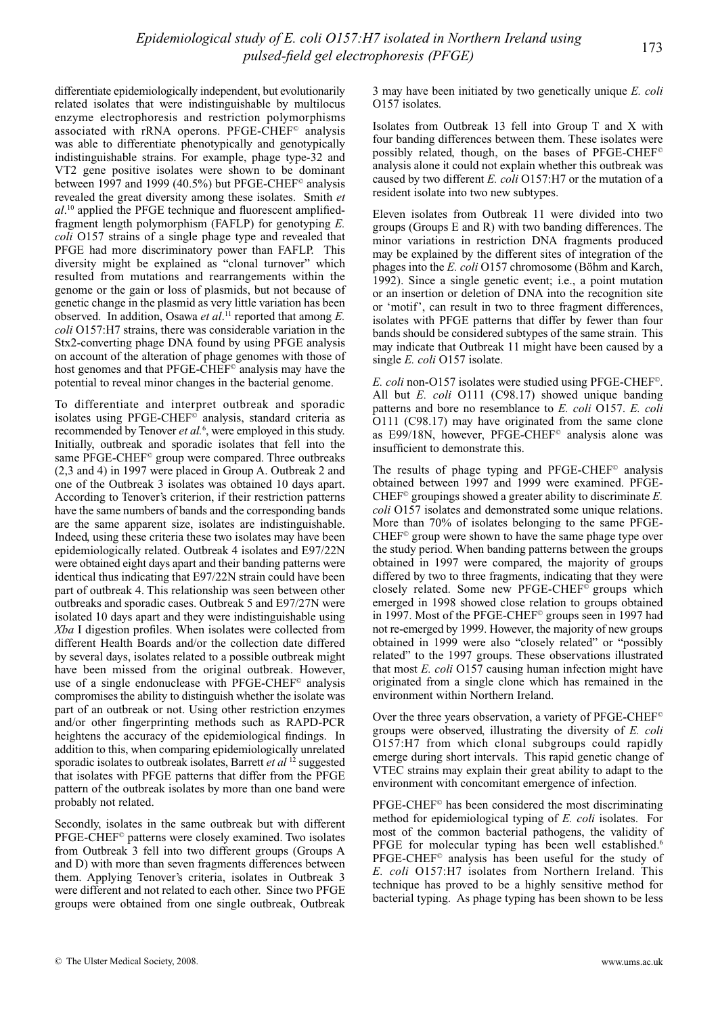differentiate epidemiologically independent, but evolutionarily related isolates that were indistinguishable by multilocus enzyme electrophoresis and restriction polymorphisms associated with rRNA operons. PFGE-CHEF© analysis was able to differentiate phenotypically and genotypically indistinguishable strains. For example, phage type-32 and VT2 gene positive isolates were shown to be dominant between 1997 and 1999 (40.5%) but PFGE-CHEF<sup>®</sup> analysis revealed the great diversity among these isolates. Smith *et al*. 10 applied the PFGE technique and fluorescent amplifiedfragment length polymorphism (FAFLP) for genotyping *E. coli* O157 strains of a single phage type and revealed that PFGE had more discriminatory power than FAFLP. This diversity might be explained as "clonal turnover" which resulted from mutations and rearrangements within the genome or the gain or loss of plasmids, but not because of genetic change in the plasmid as very little variation has been observed. In addition, Osawa *et al*. 11 reported that among *E. coli* O157:H7 strains, there was considerable variation in the Stx2-converting phage DNA found by using PFGE analysis on account of the alteration of phage genomes with those of host genomes and that PFGE-CHEF<sup>®</sup> analysis may have the potential to reveal minor changes in the bacterial genome.

To differentiate and interpret outbreak and sporadic isolates using PFGE-CHEF© analysis, standard criteria as recommended by Tenover *et al.*<sup>6</sup>, were employed in this study. Initially, outbreak and sporadic isolates that fell into the same PFGE-CHEF<sup>©</sup> group were compared. Three outbreaks (2,3 and 4) in 1997 were placed in Group A. Outbreak 2 and one of the Outbreak 3 isolates was obtained 10 days apart. According to Tenover's criterion, if their restriction patterns have the same numbers of bands and the corresponding bands are the same apparent size, isolates are indistinguishable. Indeed, using these criteria these two isolates may have been epidemiologically related. Outbreak 4 isolates and E97/22N were obtained eight days apart and their banding patterns were identical thus indicating that E97/22N strain could have been part of outbreak 4. This relationship was seen between other outbreaks and sporadic cases. Outbreak 5 and E97/27N were isolated 10 days apart and they were indistinguishable using *Xba* I digestion profiles. When isolates were collected from different Health Boards and/or the collection date differed by several days, isolates related to a possible outbreak might have been missed from the original outbreak. However, use of a single endonuclease with PFGE-CHEF<sup>©</sup> analysis compromises the ability to distinguish whether the isolate was part of an outbreak or not. Using other restriction enzymes and/or other fingerprinting methods such as RAPD-PCR heightens the accuracy of the epidemiological findings. In addition to this, when comparing epidemiologically unrelated sporadic isolates to outbreak isolates, Barrett *et al* 12 suggested that isolates with PFGE patterns that differ from the PFGE pattern of the outbreak isolates by more than one band were probably not related.

Secondly, isolates in the same outbreak but with different PFGE-CHEF© patterns were closely examined. Two isolates from Outbreak 3 fell into two different groups (Groups A and D) with more than seven fragments differences between them. Applying Tenover's criteria, isolates in Outbreak 3 were different and not related to each other. Since two PFGE groups were obtained from one single outbreak, Outbreak

3 may have been initiated by two genetically unique *E. coli* O157 isolates.

Isolates from Outbreak 13 fell into Group T and X with four banding differences between them. These isolates were possibly related, though, on the bases of PFGE-CHEF© analysis alone it could not explain whether this outbreak was caused by two different *E. coli* O157:H7 or the mutation of a resident isolate into two new subtypes.

Eleven isolates from Outbreak 11 were divided into two groups (Groups E and R) with two banding differences. The minor variations in restriction DNA fragments produced may be explained by the different sites of integration of the phages into the *E. coli* O157 chromosome (Böhm and Karch, 1992). Since a single genetic event; i.e., a point mutation or an insertion or deletion of DNA into the recognition site or 'motif', can result in two to three fragment differences, isolates with PFGE patterns that differ by fewer than four bands should be considered subtypes of the same strain. This may indicate that Outbreak 11 might have been caused by a single *E. coli* O157 isolate.

*E. coli* non-O157 isolates were studied using PFGE-CHEF©. All but *E. coli* O111 (C98.17) showed unique banding patterns and bore no resemblance to *E. coli* O157. *E. coli* O111 (C98.17) may have originated from the same clone as E99/18N, however, PFGE-CHEF<sup>®</sup> analysis alone was insufficient to demonstrate this.

The results of phage typing and PFGE-CHEF<sup>©</sup> analysis obtained between 1997 and 1999 were examined. PFGE-CHEF© groupings showed a greater ability to discriminate *E. coli* O157 isolates and demonstrated some unique relations. More than 70% of isolates belonging to the same PFGE-CHEF© group were shown to have the same phage type over the study period. When banding patterns between the groups obtained in 1997 were compared, the majority of groups differed by two to three fragments, indicating that they were closely related. Some new PFGE-CHEF© groups which emerged in 1998 showed close relation to groups obtained in 1997. Most of the PFGE-CHEF© groups seen in 1997 had not re-emerged by 1999. However, the majority of new groups obtained in 1999 were also "closely related" or "possibly related" to the 1997 groups. These observations illustrated that most *E. coli* O157 causing human infection might have originated from a single clone which has remained in the environment within Northern Ireland.

Over the three years observation, a variety of PFGE-CHEF© groups were observed, illustrating the diversity of *E. coli* O157:H7 from which clonal subgroups could rapidly emerge during short intervals. This rapid genetic change of VTEC strains may explain their great ability to adapt to the environment with concomitant emergence of infection.

PFGE-CHEF© has been considered the most discriminating method for epidemiological typing of *E. coli* isolates. For most of the common bacterial pathogens, the validity of PFGE for molecular typing has been well established.<sup>6</sup> PFGE-CHEF© analysis has been useful for the study of *E. coli* O157:H7 isolates from Northern Ireland. This technique has proved to be a highly sensitive method for bacterial typing. As phage typing has been shown to be less